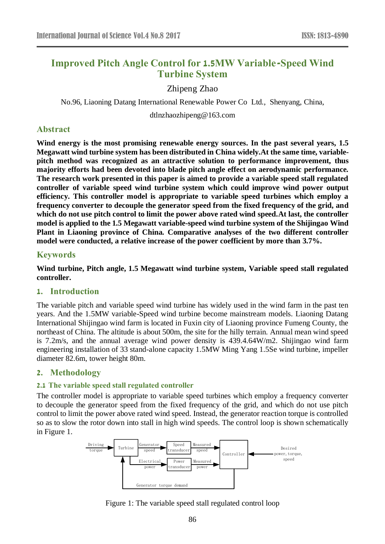# **Improved Pitch Angle Control for 1.5MW Variable-Speed Wind Turbine System**

Zhipeng Zhao

No.96, Liaoning Datang International Renewable Power Co Ltd., Shenyang, China,

dtlnzhaozhipeng@163.com

### **Abstract**

**Wind energy is the most promising renewable energy sources. In the past several years, 1.5 Megawatt wind turbine system has been distributed in China widely.At the same time, variablepitch method was recognized as an attractive solution to performance improvement, thus majority efforts had been devoted into blade pitch angle effect on aerodynamic performance. The research work presented in this paper is aimed to provide a variable speed stall regulated controller of variable speed wind turbine system which could improve wind power output efficiency. This controller model is appropriate to variable speed turbines which employ a frequency converter to decouple the generator speed from the fixed frequency of the grid, and which do not use pitch control to limit the power above rated wind speed.At last, the controller model is applied to the 1.5 Megawatt variable-speed wind turbine system of the Shijingao Wind Plant in Liaoning province of China. Comparative analyses of the two different controller model were conducted, a relative increase of the power coefficient by more than 3.7%.**

### **Keywords**

**Wind turbine, Pitch angle, 1.5 Megawatt wind turbine system, Variable speed stall regulated controller.**

# **1. Introduction**

The variable pitch and variable speed wind turbine has widely used in the wind farm in the past ten years. And the 1.5MW variable-Speed wind turbine become mainstream models. Liaoning Datang International Shijingao wind farm is located in Fuxin city of Liaoning province Fumeng County, the northeast of China. The altitude is about 500m, the site for the hilly terrain. Annual mean wind speed is 7.2m/s, and the annual average wind power density is 439.4.64W/m2. Shijingao wind farm engineering installation of 33 stand-alone capacity 1.5MW Ming Yang 1.5Se wind turbine, impeller diameter 82.6m, tower height 80m.

# **2. Methodology**

#### **2.1 The variable speed stall regulated controller**

The controller model is appropriate to variable speed turbines which employ a frequency converter to decouple the generator speed from the fixed frequency of the grid, and which do not use pitch control to limit the power above rated wind speed. Instead, the generator reaction torque is controlled so as to slow the rotor down into stall in high wind speeds. The control loop is shown schematically in Figure 1.



Figure 1: The variable speed stall regulated control loop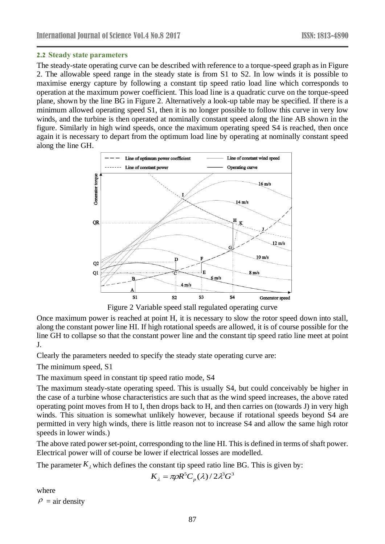#### **2.2 Steady state parameters**

The steady-state operating curve can be described with reference to a torque-speed graph as in Figure 2. The allowable speed range in the steady state is from S1 to S2. In low winds it is possible to maximise energy capture by following a constant tip speed ratio load line which corresponds to operation at the maximum power coefficient. This load line is a quadratic curve on the torque-speed plane, shown by the line BG in Figure 2. Alternatively a look-up table may be specified. If there is a minimum allowed operating speed S1, then it is no longer possible to follow this curve in very low winds, and the turbine is then operated at nominally constant speed along the line AB shown in the figure. Similarly in high wind speeds, once the maximum operating speed S4 is reached, then once again it is necessary to depart from the optimum load line by operating at nominally constant speed along the line GH.



Figure 2 Variable speed stall regulated operating curve

Once maximum power is reached at point H, it is necessary to slow the rotor speed down into stall, along the constant power line HI. If high rotational speeds are allowed, it is of course possible for the line GH to collapse so that the constant power line and the constant tip speed ratio line meet at point J.

Clearly the parameters needed to specify the steady state operating curve are:

The minimum speed, S1

The maximum speed in constant tip speed ratio mode, S4

The maximum steady-state operating speed. This is usually S4, but could conceivably be higher in the case of a turbine whose characteristics are such that as the wind speed increases, the above rated operating point moves from H to I, then drops back to H, and then carries on (towards J) in very high winds. This situation is somewhat unlikely however, because if rotational speeds beyond S4 are permitted in very high winds, there is little reason not to increase S4 and allow the same high rotor speeds in lower winds.)

The above rated power set-point, corresponding to the line HI. This is defined in terms of shaft power. Electrical power will of course be lower if electrical losses are modelled.

The parameter  $K_{\lambda}$  which defines the constant tip speed ratio line BG. This is given by:

$$
K_{\lambda} = \pi \rho R^{5} C_{p}(\lambda) / 2 \lambda^{3} G^{3}
$$

where  $\rho$  = air density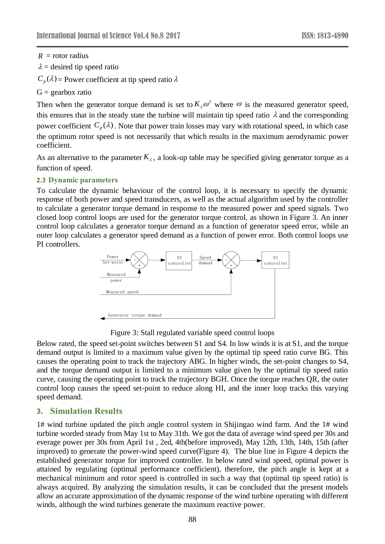$R =$  rotor radius

 $\lambda$  = desired tip speed ratio

 $C_p(\lambda)$  = Power coefficient at tip speed ratio  $\lambda$ 

 $G =$  gearbox ratio

Then when the generator torque demand is set to  $K_{\lambda} \omega^2$  where  $\omega$  is the measured generator speed, this ensures that in the steady state the turbine will maintain tip speed ratio  $\lambda$  and the corresponding power coefficient  $C_p(\lambda)$ . Note that power train losses may vary with rotational speed, in which case the optimum rotor speed is not necessarily that which results in the maximum aerodynamic power coefficient.

As an alternative to the parameter  $K_{\lambda}$ , a look-up table may be specified giving generator torque as a function of speed.

#### **2.3 Dynamic parameters**

To calculate the dynamic behaviour of the control loop, it is necessary to specify the dynamic response of both power and speed transducers, as well as the actual algorithm used by the controller to calculate a generator torque demand in response to the measured power and speed signals. Two closed loop control loops are used for the generator torque control, as shown in Figure 3. An inner control loop calculates a generator torque demand as a function of generator speed error, while an outer loop calculates a generator speed demand as a function of power error. Both control loops use PI controllers.



Figure 3: Stall regulated variable speed control loops

Below rated, the speed set-point switches between S1 and S4. In low winds it is at S1, and the torque demand output is limited to a maximum value given by the optimal tip speed ratio curve BG. This causes the operating point to track the trajectory ABG. In higher winds, the set-point changes to S4, and the torque demand output is limited to a minimum value given by the optimal tip speed ratio curve, causing the operating point to track the trajectory BGH. Once the torque reaches QR, the outer control loop causes the speed set-point to reduce along HI, and the inner loop tracks this varying speed demand.

# **3. Simulation Results**

*K* = rotor radius<br>  $X = \text{desreted tip speed ratio}$ <br>  $X = \text{desected tip speed ratio}$ <br>  $C_x(\lambda) = \text{Power coefficient at tip speed ratio } \lambda$ <br>  $G_x(\lambda) = \text{Power coefficient at tip speed ratio}$ <br>
Then when the generator torque demand is set to in<br>
this ensures that in the steady state the turbine will<br>
observe coefficient 1# wind turbine updated the pitch angle control system in Shijingao wind farm. And the 1# wind turbine worded steady from May 1st to May 31th. We got the data of average wind speed per 30s and everage power per 30s from April 1st , 2ed, 4th(before improved), May 12th, 13th, 14th, 15th (after improved) to generate the power-wind speed curve(Figure 4). The blue line in Figure 4 depicts the established generator torque for improved controller. In below rated wind speed, optimal power is attained by regulating (optimal performance coefficient), therefore, the pitch angle is kept at a mechanical minimum and rotor speed is controlled in such a way that (optimal tip speed ratio) is always acquired. By analyzing the simulation results, it can be concluded that the present models allow an accurate approximation of the dynamic response of the wind turbine operating with different winds, although the wind turbines generate the maximum reactive power.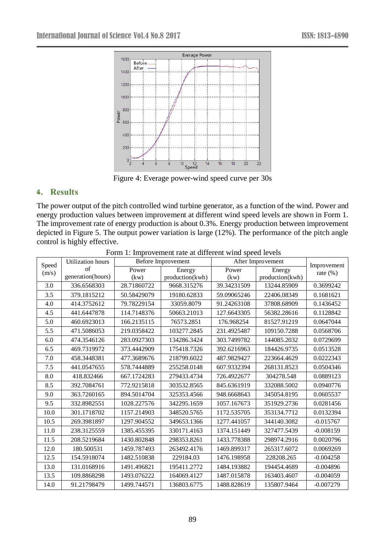

Figure 4: Everage power-wind speed curve per 30s

# **4. Results**

The power output of the pitch controlled wind turbine generator, as a function of the wind. Power and energy production values between improvement at different wind speed levels are shown in Form 1. The improvement rate of energy production is about 0.3%. Energy production between improvement depicted in Figure 5. The output power variation is large (12%). The performance of the pitch angle control is highly effective.

| Speed | Utilization hours | Before Improvement |                 | After Improvement |                 | Improvement  |
|-------|-------------------|--------------------|-----------------|-------------------|-----------------|--------------|
| (m/s) | of                | Power              | Energy          | Power             | Energy          | rate $(\% )$ |
|       | generation(hours) | (kw)               | production(kwh) | (kw)              | production(kwh) |              |
| 3.0   | 336.6568303       | 28.71860722        | 9668.315276     | 39.34231509       | 13244.85909     | 0.3699242    |
| 3.5   | 379.1815212       | 50.58429079        | 19180.62833     | 59.09065246       | 22406.08349     | 0.1681621    |
| 4.0   | 414.3752612       | 79.78229154        | 33059.8079      | 91.24263108       | 37808.68909     | 0.1436452    |
| 4.5   | 441.6447878       | 114.7148376        | 50663.21013     | 127.6643305       | 56382.28616     | 0.1128842    |
| 5.0   | 460.6923013       | 166.2135115        | 76573.2851      | 176.968254        | 81527.91219     | 0.0647044    |
| 5.5   | 471.5086053       | 219.0358422        | 103277.2845     | 231.4925487       | 109150.7288     | 0.0568706    |
| 6.0   | 474.3546126       | 283.0927303        | 134286.3424     | 303.7499782       | 144085.2032     | 0.0729699    |
| 6.5   | 469.7319972       | 373.4442909        | 175418.7326     | 392.6216963       | 184426.9735     | 0.0513528    |
| 7.0   | 458.3448381       | 477.3689676        | 218799.6022     | 487.9829427       | 223664.4629     | 0.0222343    |
| 7.5   | 441.0547655       | 578.7444889        | 255258.0148     | 607.9332394       | 268131.8523     | 0.0504346    |
| 8.0   | 418.832466        | 667.1724283        | 279433.4734     | 726.4922677       | 304278.548      | 0.0889123    |
| 8.5   | 392.7084761       | 772.9215818        | 303532.8565     | 845.6361919       | 332088.5002     | 0.0940776    |
| 9.0   | 363.7260165       | 894.5014704        | 325353.4566     | 948.6668643       | 345054.8195     | 0.0605537    |
| 9.5   | 332.8982551       | 1028.227576        | 342295.1659     | 1057.167673       | 351929.2736     | 0.0281456    |
| 10.0  | 301.1718702       | 1157.214903        | 348520.5765     | 1172.535705       | 353134.7712     | 0.0132394    |
| 10.5  | 269.3981897       | 1297.904552        | 349653.1366     | 1277.441057       | 344140.3082     | $-0.015767$  |
| 11.0  | 238.3125559       | 1385.455395        | 330171.4163     | 1374.151449       | 327477.5439     | $-0.008159$  |
| 11.5  | 208.5219684       | 1430.802848        | 298353.8261     | 1433.778388       | 298974.2916     | 0.0020796    |
| 12.0  | 180.500531        | 1459.787493        | 263492.4176     | 1469.899317       | 265317.6072     | 0.0069269    |
| 12.5  | 154.5918074       | 1482.510838        | 229184.03       | 1476.198958       | 228208.265      | $-0.004258$  |
| 13.0  | 131.0168916       | 1491.496821        | 195411.2772     | 1484.193882       | 194454.4689     | $-0.004896$  |
| 13.5  | 109.8868298       | 1493.076222        | 164069.4127     | 1487.015878       | 163403.4607     | $-0.004059$  |
| 14.0  | 91.21798479       | 1499.744571        | 136803.6775     | 1488.828619       | 135807.9464     | $-0.007279$  |

Form 1: Improvement rate at different wind speed levels